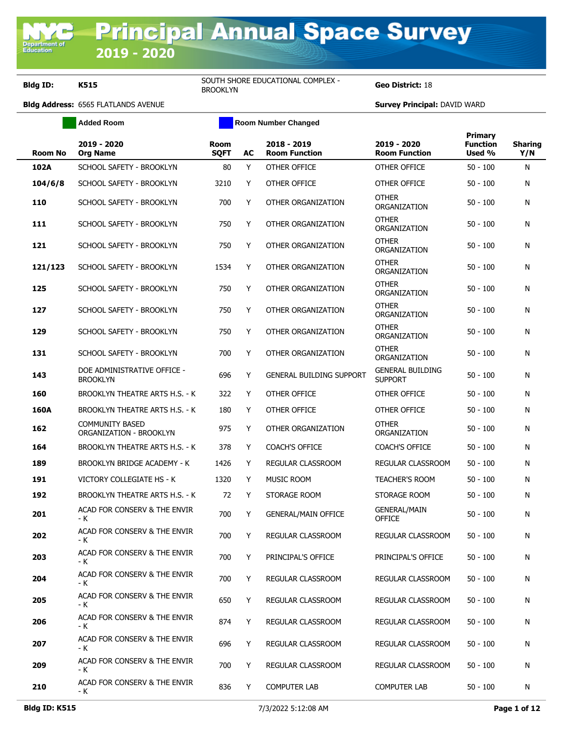Department of<br>Education

**Bldg ID: K515** SOUTH SHORE EDUCATIONAL COMPLEX -

Geo District: 18

|                | <b>Added Room</b>                                 |                            |    | <b>Room Number Changed</b>          |                                           |                                             |                       |
|----------------|---------------------------------------------------|----------------------------|----|-------------------------------------|-------------------------------------------|---------------------------------------------|-----------------------|
| <b>Room No</b> | 2019 - 2020<br><b>Org Name</b>                    | <b>Room</b><br><b>SQFT</b> | AC | 2018 - 2019<br><b>Room Function</b> | 2019 - 2020<br><b>Room Function</b>       | <b>Primary</b><br><b>Function</b><br>Used % | <b>Sharing</b><br>Y/N |
| 102A           | SCHOOL SAFETY - BROOKLYN                          | 80                         | Y  | OTHER OFFICE                        | OTHER OFFICE                              | $50 - 100$                                  | N                     |
| 104/6/8        | SCHOOL SAFETY - BROOKLYN                          | 3210                       | Y  | OTHER OFFICE                        | OTHER OFFICE                              | 50 - 100                                    | N                     |
| 110            | SCHOOL SAFETY - BROOKLYN                          | 700                        | Y  | OTHER ORGANIZATION                  | <b>OTHER</b><br>ORGANIZATION              | $50 - 100$                                  | N                     |
| 111            | SCHOOL SAFETY - BROOKLYN                          | 750                        | Y  | OTHER ORGANIZATION                  | <b>OTHER</b><br>ORGANIZATION              | $50 - 100$                                  | N                     |
| 121            | SCHOOL SAFETY - BROOKLYN                          | 750                        | Y  | OTHER ORGANIZATION                  | other<br>ORGANIZATION                     | $50 - 100$                                  | N                     |
| 121/123        | SCHOOL SAFETY - BROOKLYN                          | 1534                       | Y  | OTHER ORGANIZATION                  | <b>OTHER</b><br>ORGANIZATION              | 50 - 100                                    | N                     |
| 125            | SCHOOL SAFETY - BROOKLYN                          | 750                        | Y  | OTHER ORGANIZATION                  | <b>OTHER</b><br>ORGANIZATION              | 50 - 100                                    | N                     |
| 127            | SCHOOL SAFETY - BROOKLYN                          | 750                        | Y  | OTHER ORGANIZATION                  | <b>OTHER</b><br>ORGANIZATION              | 50 - 100                                    | N                     |
| 129            | SCHOOL SAFETY - BROOKLYN                          | 750                        | Y  | OTHER ORGANIZATION                  | OTHER<br>ORGANIZATION                     | 50 - 100                                    | N                     |
| 131            | SCHOOL SAFETY - BROOKLYN                          | 700                        | Y  | OTHER ORGANIZATION                  | <b>OTHER</b><br>ORGANIZATION              | $50 - 100$                                  | N                     |
| 143            | DOE ADMINISTRATIVE OFFICE -<br><b>BROOKLYN</b>    | 696                        | Y  | <b>GENERAL BUILDING SUPPORT</b>     | <b>GENERAL BUILDING</b><br><b>SUPPORT</b> | $50 - 100$                                  | N                     |
| 160            | <b>BROOKLYN THEATRE ARTS H.S. - K</b>             | 322                        | Y  | OTHER OFFICE                        | OTHER OFFICE                              | 50 - 100                                    | N                     |
| <b>160A</b>    | <b>BROOKLYN THEATRE ARTS H.S. - K</b>             | 180                        | Y  | OTHER OFFICE                        | <b>OTHER OFFICE</b>                       | 50 - 100                                    | N                     |
| 162            | <b>COMMUNITY BASED</b><br>ORGANIZATION - BROOKLYN | 975                        | Y  | OTHER ORGANIZATION                  | OTHER<br>ORGANIZATION                     | $50 - 100$                                  | N                     |
| 164            | <b>BROOKLYN THEATRE ARTS H.S. - K</b>             | 378                        | Y  | <b>COACH'S OFFICE</b>               | <b>COACH'S OFFICE</b>                     | 50 - 100                                    | N                     |
| 189            | <b>BROOKLYN BRIDGE ACADEMY - K</b>                | 1426                       | Y  | REGULAR CLASSROOM                   | REGULAR CLASSROOM                         | $50 - 100$                                  | N                     |
| 191            | VICTORY COLLEGIATE HS - K                         | 1320                       | Y  | MUSIC ROOM                          | <b>TEACHER'S ROOM</b>                     | $50 - 100$                                  | N                     |
| 192            | <b>BROOKLYN THEATRE ARTS H.S. - K</b>             | 72                         | Y  | STORAGE ROOM                        | STORAGE ROOM                              | 50 - 100                                    | N                     |
| 201            | ACAD FOR CONSERV & THE ENVIR<br>- K               | 700                        | Y  | <b>GENERAL/MAIN OFFICE</b>          | <b>GENERAL/MAIN</b><br><b>OFFICE</b>      | 50 - 100                                    | N                     |
| 202            | ACAD FOR CONSERV & THE ENVIR<br>- K               | 700                        | Y  | REGULAR CLASSROOM                   | REGULAR CLASSROOM                         | $50 - 100$                                  | N                     |
| 203            | ACAD FOR CONSERV & THE ENVIR<br>- K               | 700                        | Y  | PRINCIPAL'S OFFICE                  | PRINCIPAL'S OFFICE                        | $50 - 100$                                  | N                     |
| 204            | ACAD FOR CONSERV & THE ENVIR<br>- K               | 700                        | Y  | <b>REGULAR CLASSROOM</b>            | REGULAR CLASSROOM                         | $50 - 100$                                  | N                     |
| 205            | ACAD FOR CONSERV & THE ENVIR<br>- K               | 650                        | Y  | REGULAR CLASSROOM                   | REGULAR CLASSROOM                         | $50 - 100$                                  | N                     |
| 206            | ACAD FOR CONSERV & THE ENVIR<br>- K               | 874                        | Y  | REGULAR CLASSROOM                   | <b>REGULAR CLASSROOM</b>                  | $50 - 100$                                  | N                     |
| 207            | ACAD FOR CONSERV & THE ENVIR<br>- K               | 696                        | Y  | REGULAR CLASSROOM                   | REGULAR CLASSROOM                         | $50 - 100$                                  | N                     |
| 209            | ACAD FOR CONSERV & THE ENVIR<br>- K               | 700                        | Y  | REGULAR CLASSROOM                   | REGULAR CLASSROOM                         | $50 - 100$                                  | N                     |
| 210            | ACAD FOR CONSERV & THE ENVIR<br>- K               | 836                        | Y  | <b>COMPUTER LAB</b>                 | COMPUTER LAB                              | 50 - 100                                    | N                     |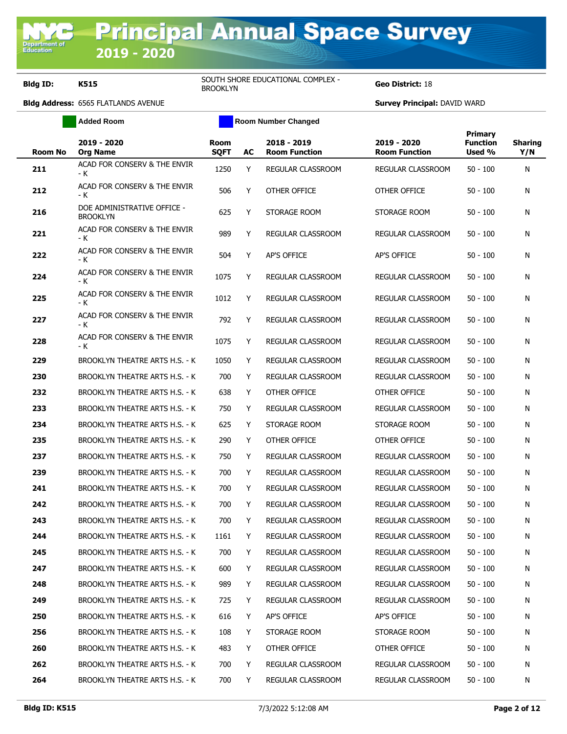**Added Room Room Room Number Changed** 

**Bldg ID: K515** SOUTH SHORE EDUCATIONAL COMPLEX -

**Geo District: 18** 

| Room No | 2019 - 2020<br><b>Org Name</b>                 | Room<br><b>SQFT</b> | AC | 2018 - 2019<br><b>Room Function</b> | 2019 - 2020<br><b>Room Function</b> | <b>Primary</b><br><b>Function</b><br>Used % | <b>Sharing</b><br>Y/N |
|---------|------------------------------------------------|---------------------|----|-------------------------------------|-------------------------------------|---------------------------------------------|-----------------------|
| 211     | ACAD FOR CONSERV & THE ENVIR<br>- K            | 1250                | Y  | REGULAR CLASSROOM                   | REGULAR CLASSROOM                   | $50 - 100$                                  | N                     |
| 212     | ACAD FOR CONSERV & THE ENVIR<br>- K            | 506                 | Y  | OTHER OFFICE                        | OTHER OFFICE                        | $50 - 100$                                  | N                     |
| 216     | DOE ADMINISTRATIVE OFFICE -<br><b>BROOKLYN</b> | 625                 | Y  | STORAGE ROOM                        | STORAGE ROOM                        | $50 - 100$                                  | N                     |
| 221     | ACAD FOR CONSERV & THE ENVIR<br>- K            | 989                 | Y  | REGULAR CLASSROOM                   | <b>REGULAR CLASSROOM</b>            | $50 - 100$                                  | N                     |
| 222     | ACAD FOR CONSERV & THE ENVIR<br>- K            | 504                 | Y  | AP'S OFFICE                         | AP'S OFFICE                         | $50 - 100$                                  | N                     |
| 224     | ACAD FOR CONSERV & THE ENVIR<br>- K            | 1075                | Y  | REGULAR CLASSROOM                   | REGULAR CLASSROOM                   | $50 - 100$                                  | N                     |
| 225     | ACAD FOR CONSERV & THE ENVIR<br>- K            | 1012                | Υ  | REGULAR CLASSROOM                   | REGULAR CLASSROOM                   | $50 - 100$                                  | N                     |
| 227     | ACAD FOR CONSERV & THE ENVIR<br>- K            | 792                 | Y  | REGULAR CLASSROOM                   | REGULAR CLASSROOM                   | $50 - 100$                                  | N                     |
| 228     | ACAD FOR CONSERV & THE ENVIR<br>- K            | 1075                | Υ  | REGULAR CLASSROOM                   | REGULAR CLASSROOM                   | $50 - 100$                                  | N                     |
| 229     | BROOKLYN THEATRE ARTS H.S. - K                 | 1050                | Y  | REGULAR CLASSROOM                   | REGULAR CLASSROOM                   | $50 - 100$                                  | N                     |
| 230     | BROOKLYN THEATRE ARTS H.S. - K                 | 700                 | Y  | REGULAR CLASSROOM                   | <b>REGULAR CLASSROOM</b>            | $50 - 100$                                  | N                     |
| 232     | <b>BROOKLYN THEATRE ARTS H.S. - K</b>          | 638                 | Y  | OTHER OFFICE                        | OTHER OFFICE                        | $50 - 100$                                  | N                     |
| 233     | BROOKLYN THEATRE ARTS H.S. - K                 | 750                 | Y  | REGULAR CLASSROOM                   | REGULAR CLASSROOM                   | $50 - 100$                                  | N                     |
| 234     | BROOKLYN THEATRE ARTS H.S. - K                 | 625                 | Y  | STORAGE ROOM                        | STORAGE ROOM                        | $50 - 100$                                  | N                     |
| 235     | BROOKLYN THEATRE ARTS H.S. - K                 | 290                 | Y  | OTHER OFFICE                        | OTHER OFFICE                        | $50 - 100$                                  | N                     |
| 237     | BROOKLYN THEATRE ARTS H.S. - K                 | 750                 | Y  | REGULAR CLASSROOM                   | REGULAR CLASSROOM                   | $50 - 100$                                  | N                     |
| 239     | <b>BROOKLYN THEATRE ARTS H.S. - K</b>          | 700                 | Y  | REGULAR CLASSROOM                   | REGULAR CLASSROOM                   | $50 - 100$                                  | N                     |
| 241     | BROOKLYN THEATRE ARTS H.S. - K                 | 700                 | Y  | REGULAR CLASSROOM                   | <b>REGULAR CLASSROOM</b>            | $50 - 100$                                  | N                     |
| 242     | <b>BROOKLYN THEATRE ARTS H.S. - K</b>          | 700                 | Y  | REGULAR CLASSROOM                   | REGULAR CLASSROOM                   | $50 - 100$                                  | N                     |
| 243     | BROOKLYN THEATRE ARTS H.S. - K                 | 700                 | Y  | REGULAR CLASSROOM                   | REGULAR CLASSROOM                   | $50 - 100$                                  | N                     |
| 244     | BROOKLYN THEATRE ARTS H.S. - K                 | 1161                | Y  | REGULAR CLASSROOM                   | <b>REGULAR CLASSROOM</b>            | $50 - 100$                                  | N                     |
| 245     | BROOKLYN THEATRE ARTS H.S. - K                 | 700                 | Y  | REGULAR CLASSROOM                   | REGULAR CLASSROOM                   | 50 - 100                                    | N                     |
| 247     | BROOKLYN THEATRE ARTS H.S. - K                 | 600                 | Y  | REGULAR CLASSROOM                   | <b>REGULAR CLASSROOM</b>            | $50 - 100$                                  | N                     |
| 248     | BROOKLYN THEATRE ARTS H.S. - K                 | 989                 | Y  | REGULAR CLASSROOM                   | REGULAR CLASSROOM                   | $50 - 100$                                  | N                     |
| 249     | <b>BROOKLYN THEATRE ARTS H.S. - K</b>          | 725                 | Y  | REGULAR CLASSROOM                   | REGULAR CLASSROOM                   | $50 - 100$                                  | N                     |
| 250     | <b>BROOKLYN THEATRE ARTS H.S. - K</b>          | 616                 | Y  | AP'S OFFICE                         | AP'S OFFICE                         | $50 - 100$                                  | N                     |
| 256     | BROOKLYN THEATRE ARTS H.S. - K                 | 108                 | Y  | STORAGE ROOM                        | STORAGE ROOM                        | $50 - 100$                                  | N                     |
| 260     | BROOKLYN THEATRE ARTS H.S. - K                 | 483                 | Y  | OTHER OFFICE                        | OTHER OFFICE                        | $50 - 100$                                  | N                     |
| 262     | BROOKLYN THEATRE ARTS H.S. - K                 | 700                 | Y  | REGULAR CLASSROOM                   | REGULAR CLASSROOM                   | $50 - 100$                                  | N                     |
| 264     | BROOKLYN THEATRE ARTS H.S. - K                 | 700                 | Y  | REGULAR CLASSROOM                   | REGULAR CLASSROOM                   | $50 - 100$                                  | N                     |
|         |                                                |                     |    |                                     |                                     |                                             |                       |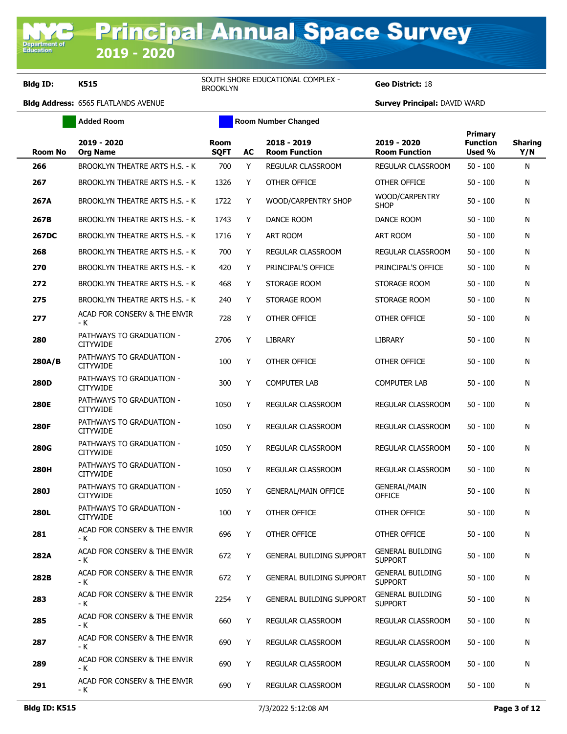**Bldg ID: K515** SOUTH SHORE EDUCATIONAL COMPLEX -

**Geo District: 18** 

|                | <b>Added Room</b>                                  |                            |    | <b>Room Number Changed</b>          |                                           |                                             |                       |
|----------------|----------------------------------------------------|----------------------------|----|-------------------------------------|-------------------------------------------|---------------------------------------------|-----------------------|
| <b>Room No</b> | 2019 - 2020<br><b>Org Name</b>                     | <b>Room</b><br><b>SQFT</b> | AC | 2018 - 2019<br><b>Room Function</b> | 2019 - 2020<br><b>Room Function</b>       | <b>Primary</b><br><b>Function</b><br>Used % | <b>Sharing</b><br>Y/N |
| 266            | <b>BROOKLYN THEATRE ARTS H.S. - K</b>              | 700                        | Y  | REGULAR CLASSROOM                   | <b>REGULAR CLASSROOM</b>                  | $50 - 100$                                  | N                     |
| 267            | <b>BROOKLYN THEATRE ARTS H.S. - K</b>              | 1326                       | Y  | OTHER OFFICE                        | OTHER OFFICE                              | $50 - 100$                                  | N                     |
| 267A           | BROOKLYN THEATRE ARTS H.S. - K                     | 1722                       | Y  | WOOD/CARPENTRY SHOP                 | WOOD/CARPENTRY<br><b>SHOP</b>             | 50 - 100                                    | N                     |
| 267B           | <b>BROOKLYN THEATRE ARTS H.S. - K</b>              | 1743                       | Y  | DANCE ROOM                          | DANCE ROOM                                | $50 - 100$                                  | N                     |
| <b>267DC</b>   | <b>BROOKLYN THEATRE ARTS H.S. - K</b>              | 1716                       | Y  | ART ROOM                            | <b>ART ROOM</b>                           | 50 - 100                                    | N                     |
| 268            | BROOKLYN THEATRE ARTS H.S. - K                     | 700                        | Y  | REGULAR CLASSROOM                   | <b>REGULAR CLASSROOM</b>                  | $50 - 100$                                  | N                     |
| 270            | <b>BROOKLYN THEATRE ARTS H.S. - K</b>              | 420                        | Y  | PRINCIPAL'S OFFICE                  | PRINCIPAL'S OFFICE                        | 50 - 100                                    | N                     |
| 272            | <b>BROOKLYN THEATRE ARTS H.S. - K</b>              | 468                        | Y  | STORAGE ROOM                        | STORAGE ROOM                              | 50 - 100                                    | N                     |
| 275            | <b>BROOKLYN THEATRE ARTS H.S. - K</b>              | 240                        | Y  | STORAGE ROOM                        | STORAGE ROOM                              | 50 - 100                                    | N                     |
| 277            | ACAD FOR CONSERV & THE ENVIR<br>- K                | 728                        | Y  | OTHER OFFICE                        | OTHER OFFICE                              | 50 - 100                                    | N                     |
| 280            | <b>PATHWAYS TO GRADUATION -</b><br><b>CITYWIDE</b> | 2706                       | Y  | LIBRARY                             | <b>LIBRARY</b>                            | 50 - 100                                    | N                     |
| 280A/B         | PATHWAYS TO GRADUATION -<br><b>CITYWIDE</b>        | 100                        | Y  | OTHER OFFICE                        | OTHER OFFICE                              | 50 - 100                                    | N                     |
| <b>280D</b>    | PATHWAYS TO GRADUATION -<br><b>CITYWIDE</b>        | 300                        | Y  | <b>COMPUTER LAB</b>                 | <b>COMPUTER LAB</b>                       | $50 - 100$                                  | N                     |
| <b>280E</b>    | <b>PATHWAYS TO GRADUATION -</b><br><b>CITYWIDE</b> | 1050                       | Y  | REGULAR CLASSROOM                   | REGULAR CLASSROOM                         | 50 - 100                                    | N                     |
| 280F           | PATHWAYS TO GRADUATION -<br><b>CITYWIDE</b>        | 1050                       | Y  | REGULAR CLASSROOM                   | REGULAR CLASSROOM                         | $50 - 100$                                  | N                     |
| <b>280G</b>    | PATHWAYS TO GRADUATION -<br><b>CITYWIDE</b>        | 1050                       | Y  | REGULAR CLASSROOM                   | REGULAR CLASSROOM                         | 50 - 100                                    | N                     |
| 280H           | PATHWAYS TO GRADUATION -<br><b>CITYWIDE</b>        | 1050                       | Y  | REGULAR CLASSROOM                   | REGULAR CLASSROOM                         | 50 - 100                                    | N                     |
| 280J           | PATHWAYS TO GRADUATION -<br><b>CITYWIDE</b>        | 1050                       | Υ  | <b>GENERAL/MAIN OFFICE</b>          | <b>GENERAL/MAIN</b><br><b>OFFICE</b>      | $50 - 100$                                  | N                     |
| 280L           | PATHWAYS TO GRADUATION -<br><b>CITYWIDE</b>        | 100                        | Y  | OTHER OFFICE                        | OTHER OFFICE                              | 50 - 100                                    | N                     |
| 281            | ACAD FOR CONSERV & THE ENVIR<br>- K                | 696                        | Υ  | OTHER OFFICE                        | OTHER OFFICE                              | $50 - 100$                                  | N                     |
| 282A           | ACAD FOR CONSERV & THE ENVIR<br>- K                | 672                        | Y  | <b>GENERAL BUILDING SUPPORT</b>     | <b>GENERAL BUILDING</b><br><b>SUPPORT</b> | $50 - 100$                                  | N                     |
| 282B           | ACAD FOR CONSERV & THE ENVIR<br>- K                | 672                        | Y  | <b>GENERAL BUILDING SUPPORT</b>     | <b>GENERAL BUILDING</b><br><b>SUPPORT</b> | $50 - 100$                                  | N                     |
| 283            | ACAD FOR CONSERV & THE ENVIR<br>- K                | 2254                       | Y  | <b>GENERAL BUILDING SUPPORT</b>     | <b>GENERAL BUILDING</b><br><b>SUPPORT</b> | 50 - 100                                    | N                     |
| 285            | ACAD FOR CONSERV & THE ENVIR<br>- K                | 660                        | Y  | REGULAR CLASSROOM                   | <b>REGULAR CLASSROOM</b>                  | 50 - 100                                    | N                     |
| 287            | ACAD FOR CONSERV & THE ENVIR<br>- K                | 690                        | Y  | REGULAR CLASSROOM                   | REGULAR CLASSROOM                         | 50 - 100                                    | N                     |
| 289            | ACAD FOR CONSERV & THE ENVIR<br>- K                | 690                        | Y  | REGULAR CLASSROOM                   | REGULAR CLASSROOM                         | $50 - 100$                                  | N                     |
| 291            | ACAD FOR CONSERV & THE ENVIR<br>- K                | 690                        | Y  | REGULAR CLASSROOM                   | REGULAR CLASSROOM                         | $50 - 100$                                  | N                     |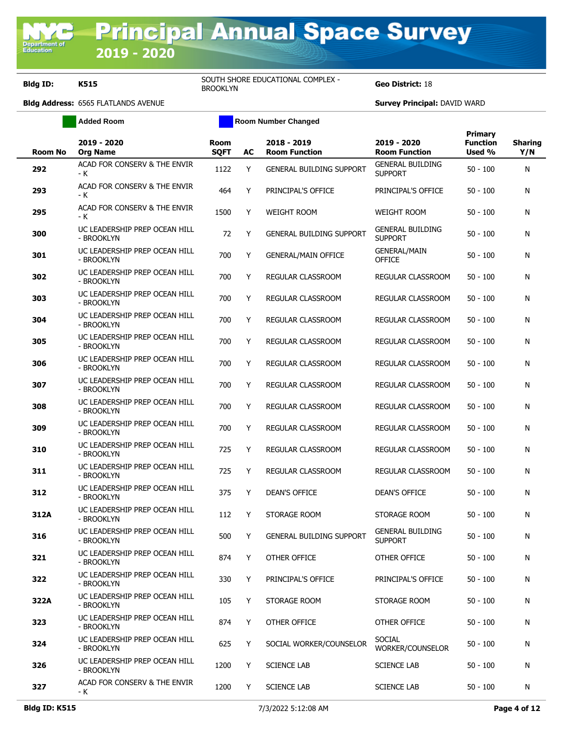**Geo District: 18** 

| <b>Added Room</b> |                                             |                     |    | <b>Room Number Changed</b>          |                                           |                                      |                       |
|-------------------|---------------------------------------------|---------------------|----|-------------------------------------|-------------------------------------------|--------------------------------------|-----------------------|
| <b>Room No</b>    | 2019 - 2020<br><b>Org Name</b>              | Room<br><b>SQFT</b> | AC | 2018 - 2019<br><b>Room Function</b> | 2019 - 2020<br><b>Room Function</b>       | Primary<br><b>Function</b><br>Used % | <b>Sharing</b><br>Y/N |
| 292               | ACAD FOR CONSERV & THE ENVIR<br>- K         | 1122                | Y  | <b>GENERAL BUILDING SUPPORT</b>     | <b>GENERAL BUILDING</b><br><b>SUPPORT</b> | $50 - 100$                           | N                     |
| 293               | ACAD FOR CONSERV & THE ENVIR<br>- K         | 464                 | Y  | PRINCIPAL'S OFFICE                  | PRINCIPAL'S OFFICE                        | 50 - 100                             | N                     |
| 295               | ACAD FOR CONSERV & THE ENVIR<br>- K         | 1500                | Y  | <b>WEIGHT ROOM</b>                  | <b>WEIGHT ROOM</b>                        | 50 - 100                             | N                     |
| 300               | UC LEADERSHIP PREP OCEAN HILL<br>- BROOKLYN | 72                  | Y  | <b>GENERAL BUILDING SUPPORT</b>     | <b>GENERAL BUILDING</b><br><b>SUPPORT</b> | $50 - 100$                           | N                     |
| 301               | UC LEADERSHIP PREP OCEAN HILL<br>- BROOKLYN | 700                 | Y  | <b>GENERAL/MAIN OFFICE</b>          | <b>GENERAL/MAIN</b><br><b>OFFICE</b>      | $50 - 100$                           | N                     |
| 302               | UC LEADERSHIP PREP OCEAN HILL<br>- Brooklyn | 700                 | Y  | REGULAR CLASSROOM                   | REGULAR CLASSROOM                         | $50 - 100$                           | N                     |
| 303               | UC LEADERSHIP PREP OCEAN HILL<br>- Brooklyn | 700                 | Y  | <b>REGULAR CLASSROOM</b>            | REGULAR CLASSROOM                         | $50 - 100$                           | N                     |
| 304               | UC LEADERSHIP PREP OCEAN HILL<br>- BROOKLYN | 700                 | Y  | REGULAR CLASSROOM                   | REGULAR CLASSROOM                         | $50 - 100$                           | N                     |
| 305               | UC LEADERSHIP PREP OCEAN HILL<br>- BROOKLYN | 700                 | Y  | <b>REGULAR CLASSROOM</b>            | REGULAR CLASSROOM                         | $50 - 100$                           | N                     |
| 306               | UC LEADERSHIP PREP OCEAN HILL<br>- BROOKLYN | 700                 | Y  | REGULAR CLASSROOM                   | REGULAR CLASSROOM                         | $50 - 100$                           | N                     |
| 307               | UC LEADERSHIP PREP OCEAN HILL<br>- BROOKLYN | 700                 | Y  | REGULAR CLASSROOM                   | REGULAR CLASSROOM                         | $50 - 100$                           | N                     |
| 308               | UC LEADERSHIP PREP OCEAN HILL<br>- Brooklyn | 700                 | Y  | REGULAR CLASSROOM                   | REGULAR CLASSROOM                         | $50 - 100$                           | N                     |
| 309               | UC LEADERSHIP PREP OCEAN HILL<br>- BROOKLYN | 700                 | Y  | REGULAR CLASSROOM                   | REGULAR CLASSROOM                         | $50 - 100$                           | N                     |
| 310               | UC LEADERSHIP PREP OCEAN HILL<br>- BROOKLYN | 725                 | Y  | REGULAR CLASSROOM                   | REGULAR CLASSROOM                         | $50 - 100$                           | N                     |
| 311               | UC LEADERSHIP PREP OCEAN HILL<br>- BROOKLYN | 725                 | Y  | REGULAR CLASSROOM                   | REGULAR CLASSROOM                         | $50 - 100$                           | N                     |
| 312               | UC LEADERSHIP PREP OCEAN HILL<br>- BROOKLYN | 375                 | Y  | <b>DEAN'S OFFICE</b>                | <b>DEAN'S OFFICE</b>                      | $50 - 100$                           | N                     |
| 312A              | UC LEADERSHIP PREP OCEAN HILL<br>- BROOKLYN | 112                 | Y  | STORAGE ROOM                        | STORAGE ROOM                              | 50 - 100                             | N                     |
| 316               | UC LEADERSHIP PREP OCEAN HILL<br>- BROOKLYN | 500                 | Y  | <b>GENERAL BUILDING SUPPORT</b>     | <b>GENERAL BUILDING</b><br><b>SUPPORT</b> | $50 - 100$                           | N                     |
| 321               | UC LEADERSHIP PREP OCEAN HILL<br>- Brooklyn | 874                 | Y  | OTHER OFFICE                        | OTHER OFFICE                              | $50 - 100$                           | N                     |
| 322               | UC LEADERSHIP PREP OCEAN HILL<br>- BROOKLYN | 330                 | Y  | PRINCIPAL'S OFFICE                  | PRINCIPAL'S OFFICE                        | $50 - 100$                           | N                     |
| 322A              | UC LEADERSHIP PREP OCEAN HILL<br>- BROOKLYN | 105                 | Y  | STORAGE ROOM                        | STORAGE ROOM                              | $50 - 100$                           | N                     |
| 323               | UC LEADERSHIP PREP OCEAN HILL<br>- Brooklyn | 874                 | Y  | OTHER OFFICE                        | OTHER OFFICE                              | $50 - 100$                           | N                     |
| 324               | UC LEADERSHIP PREP OCEAN HILL<br>- BROOKLYN | 625                 | Y  | SOCIAL WORKER/COUNSELOR             | <b>SOCIAL</b><br>WORKER/COUNSELOR         | $50 - 100$                           | N                     |
| 326               | UC LEADERSHIP PREP OCEAN HILL<br>- Brooklyn | 1200                | Y  | <b>SCIENCE LAB</b>                  | <b>SCIENCE LAB</b>                        | $50 - 100$                           | N                     |
| 327               | ACAD FOR CONSERV & THE ENVIR<br>- K         | 1200                | Y  | <b>SCIENCE LAB</b>                  | <b>SCIENCE LAB</b>                        | $50 - 100$                           | N                     |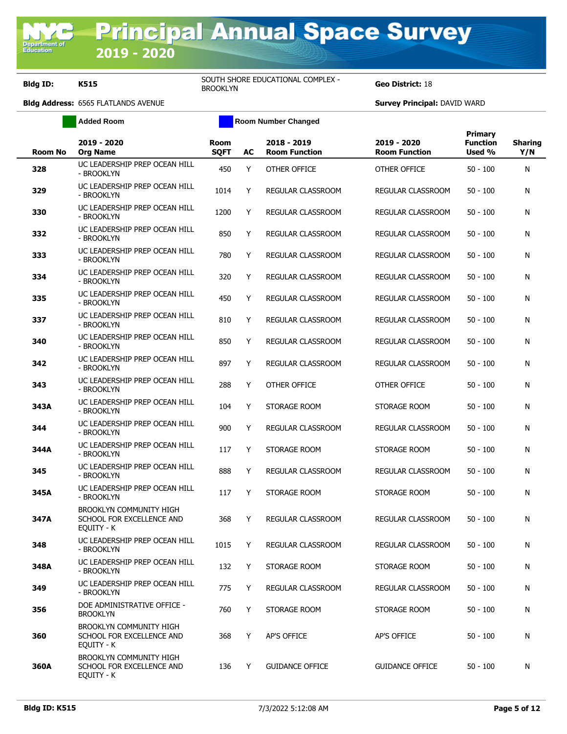**Geo District: 18** 

|                | <b>Added Room</b>                                                         |                            |    | <b>Room Number Changed</b>          |                                     |                                             |                       |
|----------------|---------------------------------------------------------------------------|----------------------------|----|-------------------------------------|-------------------------------------|---------------------------------------------|-----------------------|
| <b>Room No</b> | 2019 - 2020<br><b>Org Name</b>                                            | <b>Room</b><br><b>SQFT</b> | AC | 2018 - 2019<br><b>Room Function</b> | 2019 - 2020<br><b>Room Function</b> | <b>Primary</b><br><b>Function</b><br>Used % | <b>Sharing</b><br>Y/N |
| 328            | UC LEADERSHIP PREP OCEAN HILL<br>- BROOKLYN                               | 450                        | Y  | OTHER OFFICE                        | OTHER OFFICE                        | $50 - 100$                                  | Ν                     |
| 329            | UC LEADERSHIP PREP OCEAN HILL<br>- BROOKLYN                               | 1014                       | Y  | REGULAR CLASSROOM                   | REGULAR CLASSROOM                   | $50 - 100$                                  | N                     |
| 330            | UC LEADERSHIP PREP OCEAN HILL<br>- BROOKLYN                               | 1200                       | Y  | REGULAR CLASSROOM                   | REGULAR CLASSROOM                   | $50 - 100$                                  | N                     |
| 332            | UC LEADERSHIP PREP OCEAN HILL<br>- BROOKLYN                               | 850                        | Υ  | REGULAR CLASSROOM                   | REGULAR CLASSROOM                   | $50 - 100$                                  | N                     |
| 333            | UC LEADERSHIP PREP OCEAN HILL<br>- BROOKLYN                               | 780                        | Y  | REGULAR CLASSROOM                   | REGULAR CLASSROOM                   | $50 - 100$                                  | Ν                     |
| 334            | UC LEADERSHIP PREP OCEAN HILL<br>- BROOKLYN                               | 320                        | Y  | REGULAR CLASSROOM                   | REGULAR CLASSROOM                   | $50 - 100$                                  | Ν                     |
| 335            | UC LEADERSHIP PREP OCEAN HILL<br>- BROOKLYN                               | 450                        | Y  | REGULAR CLASSROOM                   | REGULAR CLASSROOM                   | $50 - 100$                                  | N                     |
| 337            | UC LEADERSHIP PREP OCEAN HILL<br>- BROOKLYN                               | 810                        | Y  | <b>REGULAR CLASSROOM</b>            | REGULAR CLASSROOM                   | $50 - 100$                                  | Ν                     |
| 340            | UC LEADERSHIP PREP OCEAN HILL<br>- BROOKLYN                               | 850                        | Y  | <b>REGULAR CLASSROOM</b>            | REGULAR CLASSROOM                   | $50 - 100$                                  | Ν                     |
| 342            | UC LEADERSHIP PREP OCEAN HILL<br>- BROOKLYN                               | 897                        | Y  | REGULAR CLASSROOM                   | REGULAR CLASSROOM                   | $50 - 100$                                  | N                     |
| 343            | UC LEADERSHIP PREP OCEAN HILL<br>- Brooklyn                               | 288                        | Y  | OTHER OFFICE                        | OTHER OFFICE                        | $50 - 100$                                  | N                     |
| 343A           | UC LEADERSHIP PREP OCEAN HILL<br>- Brooklyn                               | 104                        | Y  | STORAGE ROOM                        | STORAGE ROOM                        | $50 - 100$                                  | N                     |
| 344            | UC LEADERSHIP PREP OCEAN HILL<br>- BROOKLYN                               | 900                        | Y  | REGULAR CLASSROOM                   | REGULAR CLASSROOM                   | $50 - 100$                                  | Ν                     |
| 344A           | UC LEADERSHIP PREP OCEAN HILL<br>- BROOKLYN                               | 117                        | Y  | STORAGE ROOM                        | STORAGE ROOM                        | $50 - 100$                                  | Ν                     |
| 345            | UC LEADERSHIP PREP OCEAN HILL<br>- BROOKLYN                               | 888                        | Y  | REGULAR CLASSROOM                   | REGULAR CLASSROOM                   | $50 - 100$                                  | N                     |
| 345A           | UC LEADERSHIP PREP OCEAN HILL<br>- BROOKLYN                               | 117                        | Y  | STORAGE ROOM                        | STORAGE ROOM                        | $50 - 100$                                  | Ν                     |
| 347A           | <b>BROOKLYN COMMUNITY HIGH</b><br>SCHOOL FOR EXCELLENCE AND<br>EQUITY - K | 368                        | Y  | <b>REGULAR CLASSROOM</b>            | <b>REGULAR CLASSROOM</b>            | $50 - 100$                                  | Ν                     |
| 348            | UC LEADERSHIP PREP OCEAN HILL<br>- Brooklyn                               | 1015                       | Y  | <b>REGULAR CLASSROOM</b>            | REGULAR CLASSROOM                   | $50 - 100$                                  | N                     |
| 348A           | UC LEADERSHIP PREP OCEAN HILL<br>- BROOKLYN                               | 132                        | Y  | STORAGE ROOM                        | STORAGE ROOM                        | $50 - 100$                                  | N                     |
| 349            | UC LEADERSHIP PREP OCEAN HILL<br>- Brooklyn                               | 775                        | Y  | REGULAR CLASSROOM                   | REGULAR CLASSROOM                   | $50 - 100$                                  | N                     |
| 356            | DOE ADMINISTRATIVE OFFICE -<br><b>BROOKLYN</b>                            | 760                        | Y  | STORAGE ROOM                        | STORAGE ROOM                        | $50 - 100$                                  | N                     |
| 360            | BROOKLYN COMMUNITY HIGH<br>SCHOOL FOR EXCELLENCE AND<br>EQUITY - K        | 368                        | Y  | AP'S OFFICE                         | AP'S OFFICE                         | $50 - 100$                                  | N                     |
| 360A           | BROOKLYN COMMUNITY HIGH<br>SCHOOL FOR EXCELLENCE AND<br>EQUITY - K        | 136                        | Y  | <b>GUIDANCE OFFICE</b>              | <b>GUIDANCE OFFICE</b>              | $50 - 100$                                  | N                     |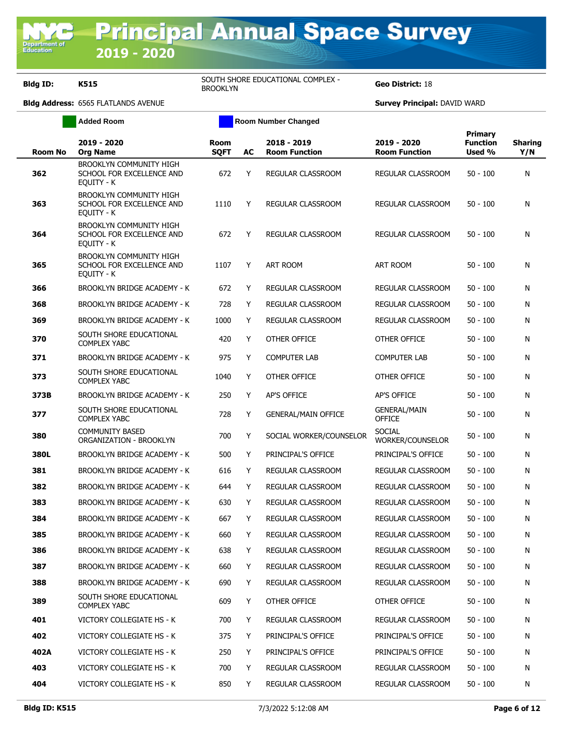**Geo District: 18** 

| <b>Added Room</b> |                                                                    |                            |    | <b>Room Number Changed</b>          |                                      |                                             |                       |
|-------------------|--------------------------------------------------------------------|----------------------------|----|-------------------------------------|--------------------------------------|---------------------------------------------|-----------------------|
| <b>Room No</b>    | 2019 - 2020<br><b>Org Name</b>                                     | <b>Room</b><br><b>SQFT</b> | AC | 2018 - 2019<br><b>Room Function</b> | 2019 - 2020<br><b>Room Function</b>  | <b>Primary</b><br><b>Function</b><br>Used % | <b>Sharing</b><br>Y/N |
| 362               | BROOKLYN COMMUNITY HIGH<br>SCHOOL FOR EXCELLENCE AND<br>EQUITY - K | 672                        | Y  | REGULAR CLASSROOM                   | REGULAR CLASSROOM                    | $50 - 100$                                  | N                     |
| 363               | BROOKLYN COMMUNITY HIGH<br>SCHOOL FOR EXCELLENCE AND<br>EQUITY - K | 1110                       | Y  | REGULAR CLASSROOM                   | REGULAR CLASSROOM                    | $50 - 100$                                  | N                     |
| 364               | BROOKLYN COMMUNITY HIGH<br>SCHOOL FOR EXCELLENCE AND<br>EQUITY - K | 672                        | Y  | REGULAR CLASSROOM                   | REGULAR CLASSROOM                    | $50 - 100$                                  | N                     |
| 365               | BROOKLYN COMMUNITY HIGH<br>SCHOOL FOR EXCELLENCE AND<br>EQUITY - K | 1107                       | Y  | ART ROOM                            | ART ROOM                             | $50 - 100$                                  | N                     |
| 366               | <b>BROOKLYN BRIDGE ACADEMY - K</b>                                 | 672                        | Y  | REGULAR CLASSROOM                   | REGULAR CLASSROOM                    | $50 - 100$                                  | N                     |
| 368               | BROOKLYN BRIDGE ACADEMY - K                                        | 728                        | Y  | REGULAR CLASSROOM                   | REGULAR CLASSROOM                    | $50 - 100$                                  | N                     |
| 369               | <b>BROOKLYN BRIDGE ACADEMY - K</b>                                 | 1000                       | Y  | <b>REGULAR CLASSROOM</b>            | REGULAR CLASSROOM                    | $50 - 100$                                  | N                     |
| 370               | SOUTH SHORE EDUCATIONAL<br><b>COMPLEX YABC</b>                     | 420                        | Y  | <b>OTHER OFFICE</b>                 | OTHER OFFICE                         | $50 - 100$                                  | N                     |
| 371               | BROOKLYN BRIDGE ACADEMY - K                                        | 975                        | Y  | <b>COMPUTER LAB</b>                 | <b>COMPUTER LAB</b>                  | $50 - 100$                                  | N                     |
| 373               | SOUTH SHORE EDUCATIONAL<br><b>COMPLEX YABC</b>                     | 1040                       | Y  | OTHER OFFICE                        | OTHER OFFICE                         | $50 - 100$                                  | N                     |
| 373B              | BROOKLYN BRIDGE ACADEMY - K                                        | 250                        | Y  | <b>AP'S OFFICE</b>                  | <b>AP'S OFFICE</b>                   | $50 - 100$                                  | N                     |
| 377               | SOUTH SHORE EDUCATIONAL<br><b>COMPLEX YABC</b>                     | 728                        | Y  | <b>GENERAL/MAIN OFFICE</b>          | <b>GENERAL/MAIN</b><br><b>OFFICE</b> | $50 - 100$                                  | N                     |
| 380               | <b>COMMUNITY BASED</b><br>ORGANIZATION - BROOKLYN                  | 700                        | Y  | SOCIAL WORKER/COUNSELOR             | SOCIAL<br>WORKER/COUNSELOR           | $50 - 100$                                  | N                     |
| 380L              | BROOKLYN BRIDGE ACADEMY - K                                        | 500                        | Y  | PRINCIPAL'S OFFICE                  | PRINCIPAL'S OFFICE                   | $50 - 100$                                  | N                     |
| 381               | BROOKLYN BRIDGE ACADEMY - K                                        | 616                        | Y  | REGULAR CLASSROOM                   | REGULAR CLASSROOM                    | $50 - 100$                                  | N                     |
| 382               | BROOKLYN BRIDGE ACADEMY - K                                        | 644                        | Y  | <b>REGULAR CLASSROOM</b>            | REGULAR CLASSROOM                    | $50 - 100$                                  | N                     |
| 383               | BROOKLYN BRIDGE ACADEMY - K                                        | 630                        | Y  | REGULAR CLASSROOM                   | REGULAR CLASSROOM                    | $50 - 100$                                  | N                     |
| 384               | BROOKLYN BRIDGE ACADEMY - K                                        | 667                        | Y  | <b>REGULAR CLASSROOM</b>            | REGULAR CLASSROOM                    | $50 - 100$                                  | N                     |
| 385               | <b>BROOKLYN BRIDGE ACADEMY - K</b>                                 | 660                        | Y  | REGULAR CLASSROOM                   | REGULAR CLASSROOM                    | $50 - 100$                                  | N                     |
| 386               | BROOKLYN BRIDGE ACADEMY - K                                        | 638                        | Y  | <b>REGULAR CLASSROOM</b>            | REGULAR CLASSROOM                    | $50 - 100$                                  | N                     |
| 387               | <b>BROOKLYN BRIDGE ACADEMY - K</b>                                 | 660                        | Y  | REGULAR CLASSROOM                   | REGULAR CLASSROOM                    | $50 - 100$                                  | N                     |
| 388               | BROOKLYN BRIDGE ACADEMY - K                                        | 690                        | Y  | REGULAR CLASSROOM                   | REGULAR CLASSROOM                    | $50 - 100$                                  | N                     |
| 389               | SOUTH SHORE EDUCATIONAL<br><b>COMPLEX YABC</b>                     | 609                        | Y  | OTHER OFFICE                        | OTHER OFFICE                         | $50 - 100$                                  | N                     |
| 401               | VICTORY COLLEGIATE HS - K                                          | 700                        | Y  | REGULAR CLASSROOM                   | REGULAR CLASSROOM                    | $50 - 100$                                  | N                     |
| 402               | VICTORY COLLEGIATE HS - K                                          | 375                        | Y  | PRINCIPAL'S OFFICE                  | PRINCIPAL'S OFFICE                   | $50 - 100$                                  | N                     |
| 402A              | VICTORY COLLEGIATE HS - K                                          | 250                        | Y  | PRINCIPAL'S OFFICE                  | PRINCIPAL'S OFFICE                   | $50 - 100$                                  | N                     |
| 403               | VICTORY COLLEGIATE HS - K                                          | 700                        | Y  | REGULAR CLASSROOM                   | REGULAR CLASSROOM                    | $50 - 100$                                  | N                     |
| 404               | VICTORY COLLEGIATE HS - K                                          | 850                        | Y  | REGULAR CLASSROOM                   | REGULAR CLASSROOM                    | $50 - 100$                                  | N                     |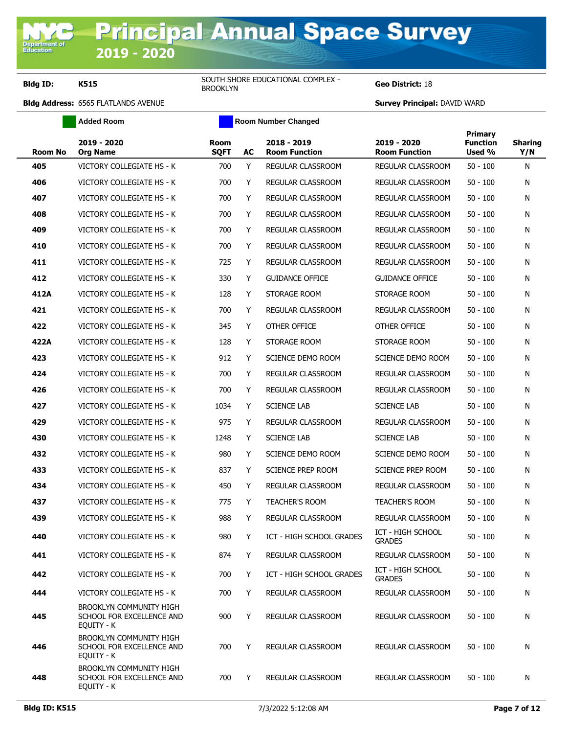**Geo District: 18** 

|         | <b>Added Room</b>                                                  |                            |    | <b>Room Number Changed</b>          |                                     |                                             |                       |
|---------|--------------------------------------------------------------------|----------------------------|----|-------------------------------------|-------------------------------------|---------------------------------------------|-----------------------|
| Room No | 2019 - 2020<br><b>Org Name</b>                                     | <b>Room</b><br><b>SQFT</b> | AC | 2018 - 2019<br><b>Room Function</b> | 2019 - 2020<br><b>Room Function</b> | <b>Primary</b><br><b>Function</b><br>Used % | <b>Sharing</b><br>Y/N |
| 405     | VICTORY COLLEGIATE HS - K                                          | 700                        | Y  | REGULAR CLASSROOM                   | REGULAR CLASSROOM                   | $50 - 100$                                  | N                     |
| 406     | VICTORY COLLEGIATE HS - K                                          | 700                        | Y  | REGULAR CLASSROOM                   | REGULAR CLASSROOM                   | $50 - 100$                                  | N                     |
| 407     | VICTORY COLLEGIATE HS - K                                          | 700                        | Y  | REGULAR CLASSROOM                   | REGULAR CLASSROOM                   | $50 - 100$                                  | N                     |
| 408     | <b>VICTORY COLLEGIATE HS - K</b>                                   | 700                        | Y  | REGULAR CLASSROOM                   | <b>REGULAR CLASSROOM</b>            | $50 - 100$                                  | N                     |
| 409     | VICTORY COLLEGIATE HS - K                                          | 700                        | Y  | REGULAR CLASSROOM                   | REGULAR CLASSROOM                   | $50 - 100$                                  | N                     |
| 410     | VICTORY COLLEGIATE HS - K                                          | 700                        | Y  | REGULAR CLASSROOM                   | REGULAR CLASSROOM                   | $50 - 100$                                  | N                     |
| 411     | VICTORY COLLEGIATE HS - K                                          | 725                        | Y  | REGULAR CLASSROOM                   | REGULAR CLASSROOM                   | $50 - 100$                                  | N                     |
| 412     | VICTORY COLLEGIATE HS - K                                          | 330                        | Y  | <b>GUIDANCE OFFICE</b>              | <b>GUIDANCE OFFICE</b>              | $50 - 100$                                  | N                     |
| 412A    | VICTORY COLLEGIATE HS - K                                          | 128                        | Y  | STORAGE ROOM                        | STORAGE ROOM                        | $50 - 100$                                  | N                     |
| 421     | VICTORY COLLEGIATE HS - K                                          | 700                        | Y  | REGULAR CLASSROOM                   | <b>REGULAR CLASSROOM</b>            | $50 - 100$                                  | N                     |
| 422     | VICTORY COLLEGIATE HS - K                                          | 345                        | Y  | OTHER OFFICE                        | OTHER OFFICE                        | $50 - 100$                                  | N                     |
| 422A    | VICTORY COLLEGIATE HS - K                                          | 128                        | Y  | STORAGE ROOM                        | STORAGE ROOM                        | $50 - 100$                                  | N                     |
| 423     | VICTORY COLLEGIATE HS - K                                          | 912                        | Y  | <b>SCIENCE DEMO ROOM</b>            | <b>SCIENCE DEMO ROOM</b>            | $50 - 100$                                  | N                     |
| 424     | VICTORY COLLEGIATE HS - K                                          | 700                        | Y  | REGULAR CLASSROOM                   | REGULAR CLASSROOM                   | $50 - 100$                                  | N                     |
| 426     | VICTORY COLLEGIATE HS - K                                          | 700                        | Y  | REGULAR CLASSROOM                   | REGULAR CLASSROOM                   | $50 - 100$                                  | N                     |
| 427     | VICTORY COLLEGIATE HS - K                                          | 1034                       | Y  | <b>SCIENCE LAB</b>                  | <b>SCIENCE LAB</b>                  | $50 - 100$                                  | N                     |
| 429     | VICTORY COLLEGIATE HS - K                                          | 975                        | Y  | REGULAR CLASSROOM                   | REGULAR CLASSROOM                   | $50 - 100$                                  | N                     |
| 430     | VICTORY COLLEGIATE HS - K                                          | 1248                       | Y  | <b>SCIENCE LAB</b>                  | <b>SCIENCE LAB</b>                  | 50 - 100                                    | N                     |
| 432     | VICTORY COLLEGIATE HS - K                                          | 980                        | Y  | SCIENCE DEMO ROOM                   | SCIENCE DEMO ROOM                   | $50 - 100$                                  | N                     |
| 433     | VICTORY COLLEGIATE HS - K                                          | 837                        | Y  | <b>SCIENCE PREP ROOM</b>            | SCIENCE PREP ROOM                   | $50 - 100$                                  | N                     |
| 434     | VICTORY COLLEGIATE HS - K                                          | 450                        | Y  | <b>REGULAR CLASSROOM</b>            | REGULAR CLASSROOM                   | $50 - 100$                                  | N                     |
| 437     | VICTORY COLLEGIATE HS - K                                          | 775                        | Y  | <b>TEACHER'S ROOM</b>               | <b>TEACHER'S ROOM</b>               | $50 - 100$                                  | N                     |
| 439     | VICTORY COLLEGIATE HS - K                                          | 988                        | Y  | REGULAR CLASSROOM                   | REGULAR CLASSROOM                   | $50 - 100$                                  | N                     |
| 440     | VICTORY COLLEGIATE HS - K                                          | 980                        | Y  | ICT - HIGH SCHOOL GRADES            | ICT - HIGH SCHOOL<br><b>GRADES</b>  | $50 - 100$                                  | N                     |
| 441     | VICTORY COLLEGIATE HS - K                                          | 874                        | Y  | REGULAR CLASSROOM                   | REGULAR CLASSROOM                   | $50 - 100$                                  | N                     |
| 442     | VICTORY COLLEGIATE HS - K                                          | 700                        | Y  | ICT - HIGH SCHOOL GRADES            | ICT - HIGH SCHOOL<br><b>GRADES</b>  | $50 - 100$                                  | N                     |
| 444     | VICTORY COLLEGIATE HS - K                                          | 700                        | Y  | REGULAR CLASSROOM                   | REGULAR CLASSROOM                   | $50 - 100$                                  | N                     |
| 445     | BROOKLYN COMMUNITY HIGH<br>SCHOOL FOR EXCELLENCE AND<br>EQUITY - K | 900                        | Y  | <b>REGULAR CLASSROOM</b>            | REGULAR CLASSROOM                   | $50 - 100$                                  | N                     |
| 446     | BROOKLYN COMMUNITY HIGH<br>SCHOOL FOR EXCELLENCE AND<br>EQUITY - K | 700                        | Y  | <b>REGULAR CLASSROOM</b>            | REGULAR CLASSROOM                   | $50 - 100$                                  | N                     |
| 448     | BROOKLYN COMMUNITY HIGH<br>SCHOOL FOR EXCELLENCE AND<br>EQUITY - K | 700                        | Y  | REGULAR CLASSROOM                   | REGULAR CLASSROOM                   | 50 - 100                                    | N                     |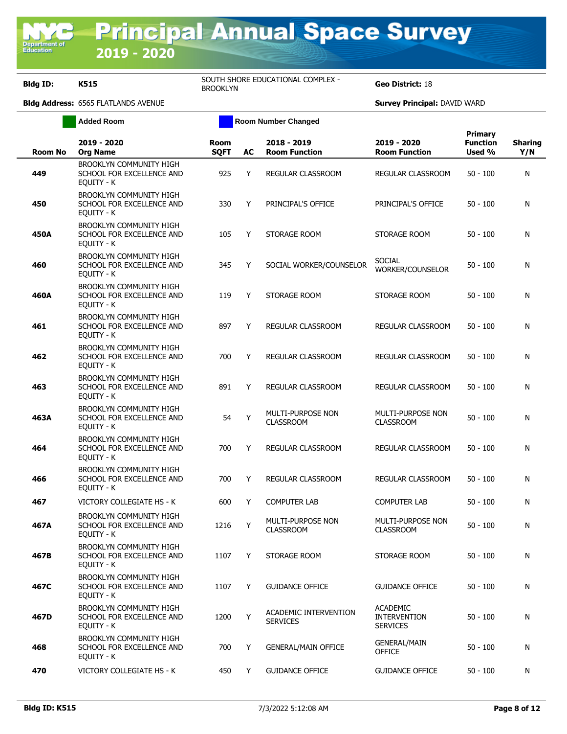**Bldg ID: K515** SOUTH SHORE EDUCATIONAL COMPLEX -

**Geo District: 18** 

|                | <b>Added Room</b>                                                         |                            |    | Room Number Changed                             |                                                           |                                      |                       |
|----------------|---------------------------------------------------------------------------|----------------------------|----|-------------------------------------------------|-----------------------------------------------------------|--------------------------------------|-----------------------|
| <b>Room No</b> | 2019 - 2020<br><b>Org Name</b>                                            | <b>Room</b><br><b>SQFT</b> | AC | 2018 - 2019<br><b>Room Function</b>             | 2019 - 2020<br><b>Room Function</b>                       | Primary<br><b>Function</b><br>Used % | <b>Sharing</b><br>Y/N |
| 449            | BROOKLYN COMMUNITY HIGH<br>SCHOOL FOR EXCELLENCE AND<br>EQUITY - K        | 925                        | Y  | REGULAR CLASSROOM                               | <b>REGULAR CLASSROOM</b>                                  | $50 - 100$                           | N                     |
| 450            | <b>BROOKLYN COMMUNITY HIGH</b><br>SCHOOL FOR EXCELLENCE AND<br>EQUITY - K | 330                        | Y  | PRINCIPAL'S OFFICE                              | PRINCIPAL'S OFFICE                                        | $50 - 100$                           | N                     |
| 450A           | <b>BROOKLYN COMMUNITY HIGH</b><br>SCHOOL FOR EXCELLENCE AND<br>EQUITY - K | 105                        | Y  | STORAGE ROOM                                    | STORAGE ROOM                                              | $50 - 100$                           | N                     |
| 460            | BROOKLYN COMMUNITY HIGH<br>SCHOOL FOR EXCELLENCE AND<br>EQUITY - K        | 345                        | Y  | SOCIAL WORKER/COUNSELOR                         | <b>SOCIAL</b><br>WORKER/COUNSELOR                         | $50 - 100$                           | N                     |
| 460A           | <b>BROOKLYN COMMUNITY HIGH</b><br>SCHOOL FOR EXCELLENCE AND<br>EQUITY - K | 119                        | Y  | STORAGE ROOM                                    | STORAGE ROOM                                              | $50 - 100$                           | Ν                     |
| 461            | BROOKLYN COMMUNITY HIGH<br>SCHOOL FOR EXCELLENCE AND<br>EQUITY - K        | 897                        | Y  | REGULAR CLASSROOM                               | REGULAR CLASSROOM                                         | $50 - 100$                           | N                     |
| 462            | <b>BROOKLYN COMMUNITY HIGH</b><br>SCHOOL FOR EXCELLENCE AND<br>EQUITY - K | 700                        | Y  | REGULAR CLASSROOM                               | <b>REGULAR CLASSROOM</b>                                  | $50 - 100$                           | N                     |
| 463            | <b>BROOKLYN COMMUNITY HIGH</b><br>SCHOOL FOR EXCELLENCE AND<br>EQUITY - K | 891                        | Y  | REGULAR CLASSROOM                               | REGULAR CLASSROOM                                         | $50 - 100$                           | N                     |
| 463A           | BROOKLYN COMMUNITY HIGH<br>SCHOOL FOR EXCELLENCE AND<br>EQUITY - K        | 54                         | Y  | MULTI-PURPOSE NON<br><b>CLASSROOM</b>           | MULTI-PURPOSE NON<br><b>CLASSROOM</b>                     | $50 - 100$                           | N                     |
| 464            | BROOKLYN COMMUNITY HIGH<br>SCHOOL FOR EXCELLENCE AND<br>EQUITY - K        | 700                        | Y  | REGULAR CLASSROOM                               | REGULAR CLASSROOM                                         | $50 - 100$                           | N                     |
| 466            | BROOKLYN COMMUNITY HIGH<br>SCHOOL FOR EXCELLENCE AND<br>EQUITY - K        | 700                        | Y  | REGULAR CLASSROOM                               | REGULAR CLASSROOM                                         | $50 - 100$                           | N                     |
| 467            | VICTORY COLLEGIATE HS - K                                                 | 600                        | Y  | <b>COMPUTER LAB</b>                             | COMPUTER LAB                                              | $50 - 100$                           | N                     |
| 467A           | BROOKLYN COMMUNITY HIGH<br>SCHOOL FOR EXCELLENCE AND<br>EQUITY - K        | 1216                       | Y  | MULTI-PURPOSE NON<br><b>CLASSROOM</b>           | <b>MULTI-PURPOSE NON</b><br><b>CLASSROOM</b>              | $50 - 100$                           | N                     |
| 467B           | BROOKLYN COMMUNITY HIGH<br>SCHOOL FOR EXCELLENCE AND<br>EQUITY - K        | 1107                       | Y  | STORAGE ROOM                                    | STORAGE ROOM                                              | $50 - 100$                           | N                     |
| 467C           | BROOKLYN COMMUNITY HIGH<br>SCHOOL FOR EXCELLENCE AND<br>EQUITY - K        | 1107                       | Y  | <b>GUIDANCE OFFICE</b>                          | <b>GUIDANCE OFFICE</b>                                    | $50 - 100$                           | N                     |
| 467D           | BROOKLYN COMMUNITY HIGH<br>SCHOOL FOR EXCELLENCE AND<br>EQUITY - K        | 1200                       | Y  | <b>ACADEMIC INTERVENTION</b><br><b>SERVICES</b> | <b>ACADEMIC</b><br><b>INTERVENTION</b><br><b>SERVICES</b> | $50 - 100$                           | N                     |
| 468            | BROOKLYN COMMUNITY HIGH<br>SCHOOL FOR EXCELLENCE AND<br>EQUITY - K        | 700                        | Y  | <b>GENERAL/MAIN OFFICE</b>                      | GENERAL/MAIN<br><b>OFFICE</b>                             | $50 - 100$                           | N                     |
| 470            | VICTORY COLLEGIATE HS - K                                                 | 450                        | Y  | <b>GUIDANCE OFFICE</b>                          | <b>GUIDANCE OFFICE</b>                                    | $50 - 100$                           | N                     |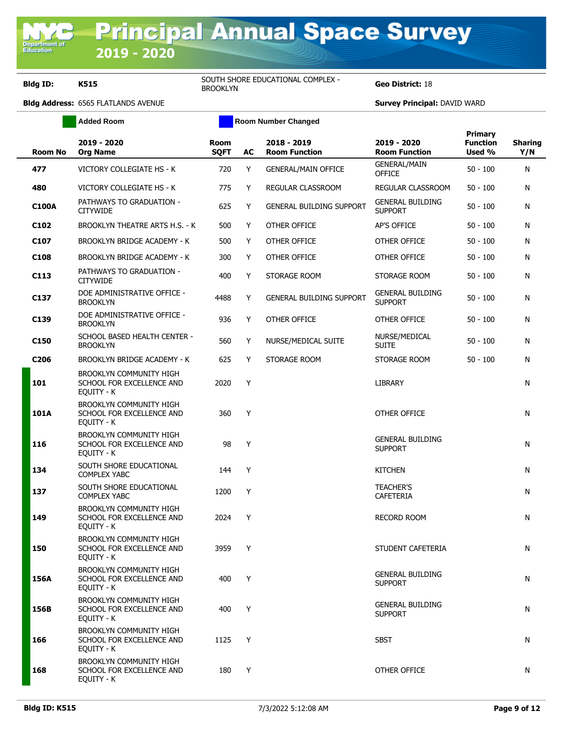**Bldg ID: K515** SOUTH SHORE EDUCATIONAL COMPLEX -

**Geo District: 18** 

| <b>Added Room</b> |                  |                                                                           |                            |    | <b>Room Number Changed</b>          |                                           |                                      |                       |  |  |
|-------------------|------------------|---------------------------------------------------------------------------|----------------------------|----|-------------------------------------|-------------------------------------------|--------------------------------------|-----------------------|--|--|
|                   | <b>Room No</b>   | 2019 - 2020<br><b>Org Name</b>                                            | <b>Room</b><br><b>SQFT</b> | AC | 2018 - 2019<br><b>Room Function</b> | 2019 - 2020<br><b>Room Function</b>       | Primary<br><b>Function</b><br>Used % | <b>Sharing</b><br>Y/N |  |  |
|                   | 477              | VICTORY COLLEGIATE HS - K                                                 | 720                        | Y  | <b>GENERAL/MAIN OFFICE</b>          | <b>GENERAL/MAIN</b><br><b>OFFICE</b>      | $50 - 100$                           | N                     |  |  |
|                   | 480              | VICTORY COLLEGIATE HS - K                                                 | 775                        | Y  | REGULAR CLASSROOM                   | REGULAR CLASSROOM                         | $50 - 100$                           | N                     |  |  |
|                   | <b>C100A</b>     | PATHWAYS TO GRADUATION -<br><b>CITYWIDE</b>                               | 625                        | Y  | <b>GENERAL BUILDING SUPPORT</b>     | <b>GENERAL BUILDING</b><br><b>SUPPORT</b> | $50 - 100$                           | N                     |  |  |
|                   | C <sub>102</sub> | <b>BROOKLYN THEATRE ARTS H.S. - K</b>                                     | 500                        | Y  | OTHER OFFICE                        | AP'S OFFICE                               | $50 - 100$                           | N                     |  |  |
|                   | C <sub>107</sub> | <b>BROOKLYN BRIDGE ACADEMY - K</b>                                        | 500                        | Y  | OTHER OFFICE                        | OTHER OFFICE                              | $50 - 100$                           | N                     |  |  |
|                   | C <sub>108</sub> | <b>BROOKLYN BRIDGE ACADEMY - K</b>                                        | 300                        | Y  | OTHER OFFICE                        | OTHER OFFICE                              | $50 - 100$                           | N                     |  |  |
|                   | C113             | PATHWAYS TO GRADUATION -<br><b>CITYWIDE</b>                               | 400                        | Υ  | STORAGE ROOM                        | STORAGE ROOM                              | $50 - 100$                           | N                     |  |  |
|                   | C137             | DOE ADMINISTRATIVE OFFICE -<br><b>BROOKLYN</b>                            | 4488                       | Y  | <b>GENERAL BUILDING SUPPORT</b>     | <b>GENERAL BUILDING</b><br><b>SUPPORT</b> | $50 - 100$                           | N                     |  |  |
|                   | C139             | DOE ADMINISTRATIVE OFFICE -<br><b>BROOKLYN</b>                            | 936                        | Y  | OTHER OFFICE                        | OTHER OFFICE                              | $50 - 100$                           | N                     |  |  |
|                   | C150             | SCHOOL BASED HEALTH CENTER -<br><b>BROOKLYN</b>                           | 560                        | Y  | NURSE/MEDICAL SUITE                 | NURSE/MEDICAL<br><b>SUITE</b>             | $50 - 100$                           | N                     |  |  |
|                   | C <sub>206</sub> | BROOKLYN BRIDGE ACADEMY - K                                               | 625                        | Y  | STORAGE ROOM                        | STORAGE ROOM                              | $50 - 100$                           | N                     |  |  |
|                   | 101              | BROOKLYN COMMUNITY HIGH<br>SCHOOL FOR EXCELLENCE AND<br>EQUITY - K        | 2020                       | Y  |                                     | <b>LIBRARY</b>                            |                                      | N                     |  |  |
|                   | <b>101A</b>      | BROOKLYN COMMUNITY HIGH<br>SCHOOL FOR EXCELLENCE AND<br>EQUITY - K        | 360                        | Y  |                                     | OTHER OFFICE                              |                                      | N                     |  |  |
|                   | 116              | BROOKLYN COMMUNITY HIGH<br>SCHOOL FOR EXCELLENCE AND<br>EQUITY - K        | 98                         | Y  |                                     | <b>GENERAL BUILDING</b><br><b>SUPPORT</b> |                                      | N                     |  |  |
|                   | 134              | SOUTH SHORE EDUCATIONAL<br><b>COMPLEX YABC</b>                            | 144                        | Y  |                                     | <b>KITCHEN</b>                            |                                      | N                     |  |  |
|                   | 137              | SOUTH SHORE EDUCATIONAL<br><b>COMPLEX YABC</b>                            | 1200                       | Y  |                                     | <b>TEACHER'S</b><br><b>CAFETERIA</b>      |                                      | N                     |  |  |
|                   | 149              | <b>BROOKLYN COMMUNITY HIGH</b><br>SCHOOL FOR EXCELLENCE AND<br>EQUITY - K | 2024                       | Y  |                                     | <b>RECORD ROOM</b>                        |                                      | N                     |  |  |
|                   | 150              | <b>BROOKLYN COMMUNITY HIGH</b><br>SCHOOL FOR EXCELLENCE AND<br>EQUITY - K | 3959                       | Y  |                                     | STUDENT CAFETERIA                         |                                      | N                     |  |  |
|                   | 156A             | BROOKLYN COMMUNITY HIGH<br>SCHOOL FOR EXCELLENCE AND<br>EQUITY - K        | 400                        | Y  |                                     | <b>GENERAL BUILDING</b><br><b>SUPPORT</b> |                                      | N                     |  |  |
|                   | 156B             | BROOKLYN COMMUNITY HIGH<br>SCHOOL FOR EXCELLENCE AND<br>EQUITY - K        | 400                        | Y  |                                     | <b>GENERAL BUILDING</b><br><b>SUPPORT</b> |                                      | N                     |  |  |
|                   | 166              | BROOKLYN COMMUNITY HIGH<br>SCHOOL FOR EXCELLENCE AND<br>EQUITY - K        | 1125                       | Y  |                                     | <b>SBST</b>                               |                                      | N                     |  |  |
|                   | 168              | <b>BROOKLYN COMMUNITY HIGH</b><br>SCHOOL FOR EXCELLENCE AND<br>EQUITY - K | 180                        | Y  |                                     | OTHER OFFICE                              |                                      | N                     |  |  |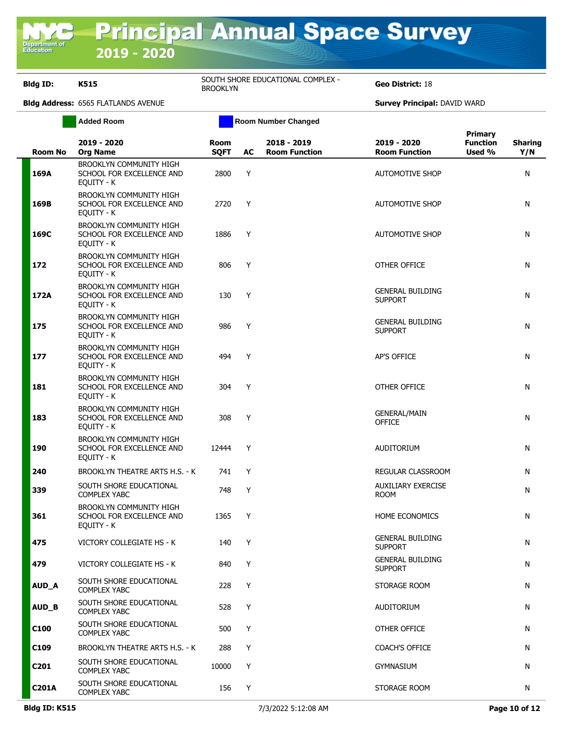**Bldg ID: K515** SOUTH SHORE EDUCATIONAL COMPLEX -

**Geo District: 18** 

|                  | <b>Added Room</b>                                                         |                     |           | <b>Room Number Changed</b>          |                                           |                                      |                       |
|------------------|---------------------------------------------------------------------------|---------------------|-----------|-------------------------------------|-------------------------------------------|--------------------------------------|-----------------------|
| <b>Room No</b>   | 2019 - 2020<br><b>Org Name</b>                                            | Room<br><b>SQFT</b> | <b>AC</b> | 2018 - 2019<br><b>Room Function</b> | 2019 - 2020<br><b>Room Function</b>       | Primary<br><b>Function</b><br>Used % | <b>Sharing</b><br>Y/N |
| 169A             | BROOKLYN COMMUNITY HIGH<br>SCHOOL FOR EXCELLENCE AND<br>EQUITY - K        | 2800                | Y         |                                     | <b>AUTOMOTIVE SHOP</b>                    |                                      | ${\sf N}$             |
| 169B             | BROOKLYN COMMUNITY HIGH<br>SCHOOL FOR EXCELLENCE AND<br>EQUITY - K        | 2720                | Y         |                                     | <b>AUTOMOTIVE SHOP</b>                    |                                      | N                     |
| 169C             | <b>BROOKLYN COMMUNITY HIGH</b><br>SCHOOL FOR EXCELLENCE AND<br>EQUITY - K | 1886                | Y         |                                     | <b>AUTOMOTIVE SHOP</b>                    |                                      | N                     |
| 172              | <b>BROOKLYN COMMUNITY HIGH</b><br>SCHOOL FOR EXCELLENCE AND<br>EQUITY - K | 806                 | Y         |                                     | OTHER OFFICE                              |                                      | N                     |
| 172A             | <b>BROOKLYN COMMUNITY HIGH</b><br>SCHOOL FOR EXCELLENCE AND<br>EQUITY - K | 130                 | Y         |                                     | <b>GENERAL BUILDING</b><br><b>SUPPORT</b> |                                      | ${\sf N}$             |
| 175              | <b>BROOKLYN COMMUNITY HIGH</b><br>SCHOOL FOR EXCELLENCE AND<br>EQUITY - K | 986                 | Y         |                                     | <b>GENERAL BUILDING</b><br><b>SUPPORT</b> |                                      | N                     |
| 177              | <b>BROOKLYN COMMUNITY HIGH</b><br>SCHOOL FOR EXCELLENCE AND<br>EQUITY - K | 494                 | Y         |                                     | <b>AP'S OFFICE</b>                        |                                      | N                     |
| 181              | <b>BROOKLYN COMMUNITY HIGH</b><br>SCHOOL FOR EXCELLENCE AND<br>EQUITY - K | 304                 | Y         |                                     | OTHER OFFICE                              |                                      | N                     |
| 183              | <b>BROOKLYN COMMUNITY HIGH</b><br>SCHOOL FOR EXCELLENCE AND<br>EQUITY - K | 308                 | Y         |                                     | <b>GENERAL/MAIN</b><br><b>OFFICE</b>      |                                      | ${\sf N}$             |
| 190              | <b>BROOKLYN COMMUNITY HIGH</b><br>SCHOOL FOR EXCELLENCE AND<br>EQUITY - K | 12444               | Y         |                                     | <b>AUDITORIUM</b>                         |                                      | N                     |
| 240              | <b>BROOKLYN THEATRE ARTS H.S. - K</b>                                     | 741                 | Y         |                                     | REGULAR CLASSROOM                         |                                      | N                     |
| 339              | SOUTH SHORE EDUCATIONAL<br><b>COMPLEX YABC</b>                            | 748                 | Y         |                                     | <b>AUXILIARY EXERCISE</b><br><b>ROOM</b>  |                                      | N                     |
| 361              | <b>BROOKLYN COMMUNITY HIGH</b><br>SCHOOL FOR EXCELLENCE AND<br>EQUITY - K | 1365                | Y         |                                     | <b>HOME ECONOMICS</b>                     |                                      | N                     |
| 475              | VICTORY COLLEGIATE HS - K                                                 | 140                 | Y         |                                     | <b>GENERAL BUILDING</b><br><b>SUPPORT</b> |                                      | N                     |
| 479              | VICTORY COLLEGIATE HS - K                                                 | 840                 | Y         |                                     | <b>GENERAL BUILDING</b><br><b>SUPPORT</b> |                                      | N                     |
| AUD_A            | SOUTH SHORE EDUCATIONAL<br><b>COMPLEX YABC</b>                            | 228                 | Y         |                                     | STORAGE ROOM                              |                                      | N                     |
| AUD_B            | SOUTH SHORE EDUCATIONAL<br><b>COMPLEX YABC</b>                            | 528                 | Y         |                                     | AUDITORIUM                                |                                      | N                     |
| C <sub>100</sub> | SOUTH SHORE EDUCATIONAL<br><b>COMPLEX YABC</b>                            | 500                 | Y         |                                     | OTHER OFFICE                              |                                      | N                     |
| C109             | BROOKLYN THEATRE ARTS H.S. - K                                            | 288                 | Y         |                                     | <b>COACH'S OFFICE</b>                     |                                      | N                     |
| C <sub>201</sub> | SOUTH SHORE EDUCATIONAL<br><b>COMPLEX YABC</b>                            | 10000               | Y         |                                     | <b>GYMNASIUM</b>                          |                                      | N                     |
| <b>C201A</b>     | SOUTH SHORE EDUCATIONAL<br><b>COMPLEX YABC</b>                            | 156                 | Y         |                                     | STORAGE ROOM                              |                                      | N                     |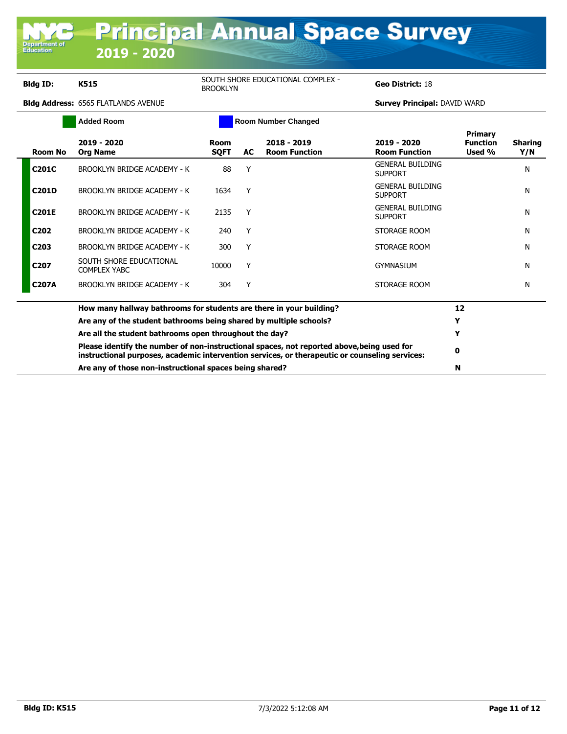**Geo District: 18** 

|                  | <b>Added Room</b>                                                                                                                                                                            |                            |    | <b>Room Number Changed</b>          |                                           |                                      |                       |
|------------------|----------------------------------------------------------------------------------------------------------------------------------------------------------------------------------------------|----------------------------|----|-------------------------------------|-------------------------------------------|--------------------------------------|-----------------------|
| <b>Room No</b>   | 2019 - 2020<br><b>Org Name</b>                                                                                                                                                               | <b>Room</b><br><b>SQFT</b> | AC | 2018 - 2019<br><b>Room Function</b> | 2019 - 2020<br><b>Room Function</b>       | Primary<br><b>Function</b><br>Used % | <b>Sharing</b><br>Y/N |
| <b>C201C</b>     | <b>BROOKLYN BRIDGE ACADEMY - K</b>                                                                                                                                                           | 88                         | Y  |                                     | <b>GENERAL BUILDING</b><br><b>SUPPORT</b> |                                      | N                     |
| C201D            | BROOKLYN BRIDGE ACADEMY - K                                                                                                                                                                  | 1634                       | Y  |                                     | <b>GENERAL BUILDING</b><br><b>SUPPORT</b> |                                      | N                     |
| <b>C201E</b>     | BROOKLYN BRIDGE ACADEMY - K                                                                                                                                                                  | 2135                       | Y  |                                     | <b>GENERAL BUILDING</b><br><b>SUPPORT</b> |                                      | N                     |
| C <sub>202</sub> | BROOKLYN BRIDGE ACADEMY - K                                                                                                                                                                  | 240                        | Y  |                                     | STORAGE ROOM                              |                                      | N                     |
| C <sub>203</sub> | BROOKLYN BRIDGE ACADEMY - K                                                                                                                                                                  | 300                        | Y  |                                     | STORAGE ROOM                              |                                      | N                     |
| C <sub>207</sub> | SOUTH SHORE EDUCATIONAL<br><b>COMPLEX YABC</b>                                                                                                                                               | 10000                      | Y  |                                     | <b>GYMNASIUM</b>                          |                                      | N                     |
| <b>C207A</b>     | <b>BROOKLYN BRIDGE ACADEMY - K</b>                                                                                                                                                           | 304                        | Y  |                                     | STORAGE ROOM                              |                                      | N                     |
|                  | How many hallway bathrooms for students are there in your building?                                                                                                                          |                            |    |                                     |                                           | 12                                   |                       |
|                  | Are any of the student bathrooms being shared by multiple schools?                                                                                                                           |                            |    |                                     |                                           | Y                                    |                       |
|                  | Are all the student bathrooms open throughout the day?                                                                                                                                       |                            |    |                                     |                                           | Y                                    |                       |
|                  | Please identify the number of non-instructional spaces, not reported above, being used for<br>instructional purposes, academic intervention services, or therapeutic or counseling services: |                            |    |                                     |                                           | 0                                    |                       |
|                  | Are any of those non-instructional spaces being shared?                                                                                                                                      |                            |    |                                     |                                           | N                                    |                       |